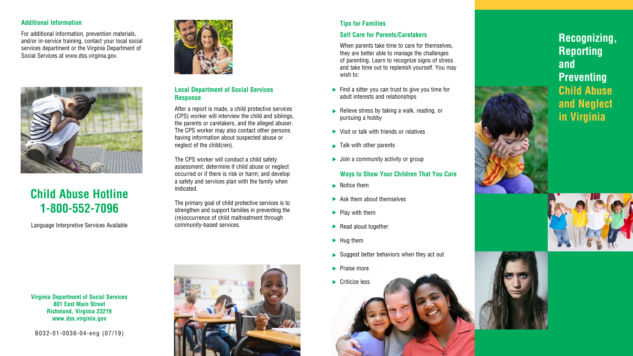## **Local Department of Social Services Response**

After a report is made, a child protective services (CPS) worker will interview the child and siblings, the parents or caretakers, and the alleged abuser. The CPS worker may also contact other persons having information about suspected abuse or neglect of the child(ren).

The CPS worker will conduct a child safety assessment; determine if child abuse or neglect occurred or if there is risk or harm; and develop a safety and services plan with the family when indicated.

The primary goal of child protective services is to strengthen and support families in preventing the (re)occurrence of child maltreatment through community-based services.

# **Tips for Families**

## **Self Care for Parents/Caretakers**

When parents take time to care for themselves, they are better able to manage the challenges of parenting. Learn to recognize signs of stress and take time out to replenish yourself. You may wish to:

- $\blacktriangleright$  Find a sitter you can trust to give you time for adult interests and relationships
- $\blacktriangleright$  Relieve stress by taking a walk, reading, or pursuing a hobby the state of the state of the state of the state of the state of the state of the state of the state of the state of the state of the state of the state of the state of the state of the state of the state of the state of t
- ▶ Visit or talk with friends or relatives
- Talk with other parents
- ▶ Join a community activity or group

## **Ways to Show Your Children That You Care**

- $\blacktriangleright$  Notice them
- $\blacktriangleright$  Ask them about themselves
- $\blacktriangleright$  Play with them
- Read aloud together
- $\blacktriangleright$  Hug them
- $\blacktriangleright$  Suggest better behaviors when they act out **t t t t t t t t**
- **Praise more**
- **Criticize less**

B032-01-0036-04-eng (07/19)



# **Child Abuse Hotline 1-800-552-7096**

Language Interpretive Services Available



# **Recognizing, Reporting and Preventing Child Abuse and Neglect in Virginia**





**Virginia Department of Social Services 801 East Main Street Richmond, Virginia 23219 www.dss.virginia.gov**

### **Additional Information**

For additional information, prevention materials, and/or in-service training, contact your local social services department or the Virginia Department of Social Services at www.dss.virginia.gov.